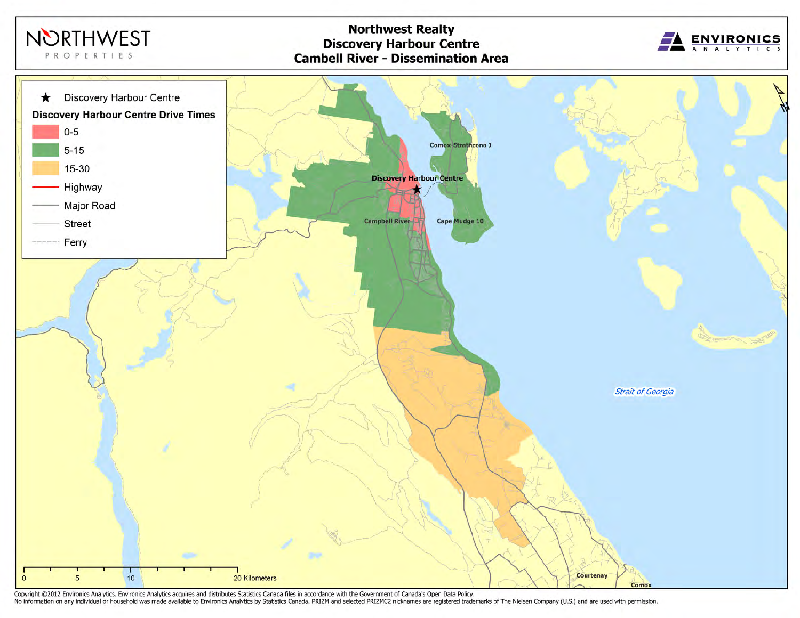

Copyright @2012 Environics Analytics. Environics Analytics acquires and distributes Statistics Canada files in accordance with the Government of Canada's Open Data Policy.<br>No information on any individual or household was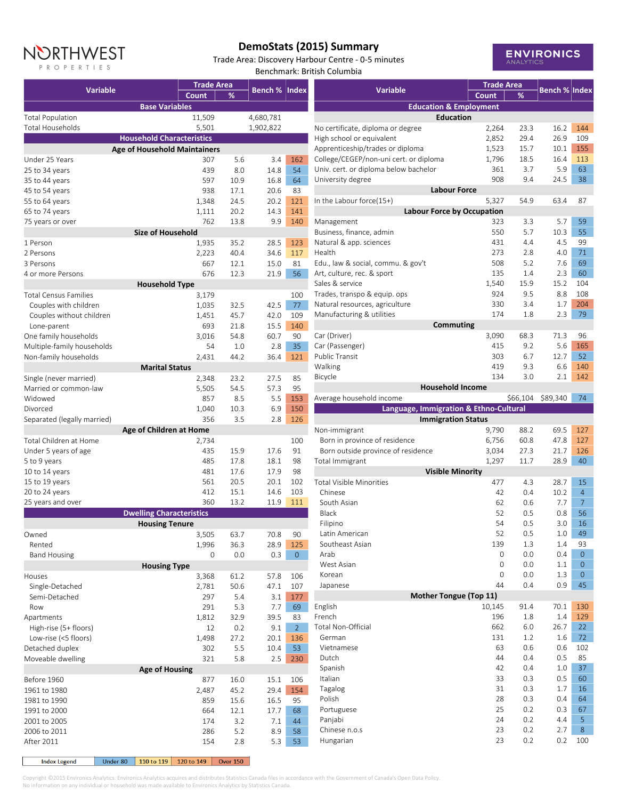## NORTHWEST P R O P E R T I E S

## **DemoStats (2015) Summary**

Trade Area: Discovery Harbour Centre - 0-5 minutes Benchmark: British Columbia



|                                                | <b>Trade Area</b> |              |                      |                |  |
|------------------------------------------------|-------------------|--------------|----------------------|----------------|--|
| <b>Variable</b>                                | Count             | %            | <b>Bench % Index</b> |                |  |
| <b>Base Variables</b>                          |                   |              |                      |                |  |
| <b>Total Population</b>                        | 11,509            |              | 4,680,781            |                |  |
| Total Households                               | 5,501             |              | 1,902,822            |                |  |
| <b>Household Characteristics</b>               |                   |              |                      |                |  |
| <b>Age of Household Maintainers</b>            |                   |              |                      |                |  |
| Under 25 Years                                 | 307               | 5.6          | 3.4                  | 162            |  |
| 25 to 34 years                                 | 439               | 8.0          | 14.8                 | 54             |  |
| 35 to 44 years                                 | 597               | 10.9         | 16.8                 | 64             |  |
| 45 to 54 years<br>55 to 64 years               | 938<br>1,348      | 17.1<br>24.5 | 20.6<br>20.2         | 83<br>121      |  |
| 65 to 74 years                                 | 1,111             | 20.2         | 14.3                 | 141            |  |
| 75 years or over                               | 762               | 13.8         | 9.9                  | 140            |  |
| <b>Size of Household</b>                       |                   |              |                      |                |  |
| 1 Person                                       | 1,935             | 35.2         | 28.5                 | 123            |  |
| 2 Persons                                      | 2,223             | 40.4         | 34.6                 | 117            |  |
| 3 Persons                                      | 667               | 12.1         | 15.0                 | 81             |  |
| 4 or more Persons                              | 676               | 12.3         | 21.9                 | 56             |  |
| <b>Household Type</b>                          |                   |              |                      |                |  |
| <b>Total Census Families</b>                   | 3,179             |              |                      | 100            |  |
| Couples with children                          | 1,035             | 32.5         | 42.5                 | 77             |  |
| Couples without children                       | 1,451             | 45.7         | 42.0                 | 109            |  |
| Lone-parent                                    | 693               | 21.8         | 15.5                 | 140            |  |
| One family households                          | 3,016             | 54.8         | 60.7                 | 90             |  |
| Multiple-family households                     | 54                | 1.0          | 2.8                  | 35             |  |
| Non-family households<br><b>Marital Status</b> | 2,431             | 44.2         | 36.4                 | 121            |  |
| Single (never married)                         | 2,348             | 23.2         | 27.5                 | 85             |  |
| Married or common-law                          | 5,505             | 54.5         | 57.3                 | 95             |  |
| Widowed                                        | 857               | 8.5          | 5.5                  | 153            |  |
| Divorced                                       | 1,040             | 10.3         | 6.9                  | 150            |  |
| Separated (legally married)                    | 356               | 3.5          | 2.8                  | 126            |  |
| Age of Children at Home                        |                   |              |                      |                |  |
| Total Children at Home                         | 2,734             |              |                      | 100            |  |
| Under 5 years of age                           | 435               | 15.9         | 17.6                 | 91             |  |
| 5 to 9 years                                   | 485               | 17.8         | 18.1                 | 98             |  |
| 10 to 14 years                                 | 481               | 17.6         | 17.9                 | 98             |  |
| 15 to 19 years                                 | 561               | 20.5         | 20.1                 | 102            |  |
| 20 to 24 years                                 | 412               | 15.1         | 14.6                 | 103            |  |
| 25 years and over                              | 360               | 13.2         | 11.9                 | 111            |  |
| <b>Dwelling Characteristics</b>                |                   |              |                      |                |  |
| <b>Housing Tenure</b><br>Owned                 | 3,505             | 63.7         | 70.8                 | 90             |  |
| Rented                                         | 1,996             | 36.3         | 28.9                 | 125            |  |
| <b>Band Housing</b>                            | 0                 | 0.0          | 0.3                  | 0              |  |
| <b>Housing Type</b>                            |                   |              |                      |                |  |
| Houses                                         | 3,368             | 61.2         | 57.8                 | 106            |  |
| Single-Detached                                | 2,781             | 50.6         | 47.1                 | 107            |  |
| Semi-Detached                                  | 297               | 5.4          | 3.1                  | 177            |  |
| Row                                            | 291               | 5.3          | 7.7                  | 69             |  |
| Apartments                                     | 1,812             | 32.9         | 39.5                 | 83             |  |
| High-rise (5+ floors)                          | 12                | 0.2          | 9.1                  | $\overline{2}$ |  |
| Low-rise (<5 floors)                           | 1,498             | 27.2         | 20.1                 | 136            |  |
| Detached duplex                                | 302               | 5.5          | 10.4                 | 53             |  |
| Moveable dwelling                              | 321               | 5.8          | 2.5                  | 230            |  |
| <b>Age of Housing</b>                          |                   |              |                      |                |  |
| Before 1960                                    | 877               | 16.0         | 15.1                 | 106            |  |
| 1961 to 1980                                   | 2,487             | 45.2<br>15.6 | 29.4                 | 154            |  |
| 1981 to 1990<br>1991 to 2000                   | 859<br>664        | 12.1         | 16.5<br>17.7         | 95<br>68       |  |
| 2001 to 2005                                   | 174               | 3.2          | 7.1                  | 44             |  |
| 2006 to 2011                                   | 286               | 5.2          | 8.9                  | 58             |  |
| After 2011                                     | 154               | 2.8          | 5.3                  | 53             |  |
|                                                |                   |              |                      |                |  |

| <b>Variable</b>                                               | <b>Trade Area</b> |            | <b>Bench % Index</b> |                      |
|---------------------------------------------------------------|-------------------|------------|----------------------|----------------------|
|                                                               | Count             | ℅          |                      |                      |
| <b>Education &amp; Employment</b><br><b>Education</b>         |                   |            |                      |                      |
| No certificate, diploma or degree                             | 2,264             | 23.3       | 16.2                 | 144                  |
| High school or equivalent                                     | 2,852             | 29.4       | 26.9                 | 109                  |
| Apprenticeship/trades or diploma                              | 1,523             | 15.7       | 10.1                 | 155                  |
| College/CEGEP/non-uni cert. or diploma                        | 1,796             | 18.5       | 16.4                 | 113                  |
| Univ. cert. or diploma below bachelor                         | 361               | 3.7        | 5.9                  | 63                   |
| University degree                                             | 908               | 9.4        | 24.5                 | 38                   |
| <b>Labour Force</b>                                           |                   |            |                      |                      |
| In the Labour force(15+)<br><b>Labour Force by Occupation</b> | 5,327             | 54.9       | 63.4                 | 87                   |
| Management                                                    | 323               | 3.3        | 5.7                  | 59                   |
| Business, finance, admin                                      | 550               | 5.7        | 10.3                 | 55                   |
| Natural & app. sciences                                       | 431               | 4.4        | 4.5                  | 99                   |
| Health                                                        | 273               | 2.8        | 4.0                  | 71                   |
| Edu., law & social, commu. & gov't                            | 508               | 5.2        | 7.6                  | 69                   |
| Art, culture, rec. & sport                                    | 135               | 1.4        | 2.3                  | 60                   |
| Sales & service                                               | 1,540             | 15.9       | 15.2                 | 104                  |
| Trades, transpo & equip. ops                                  | 924               | 9.5        | 8.8                  | 108                  |
| Natural resources, agriculture                                | 330               | 3.4        | 1.7                  | 204                  |
| Manufacturing & utilities                                     | 174               | 1.8        | 2.3                  | 79                   |
| Commuting                                                     |                   |            |                      |                      |
| Car (Driver)                                                  | 3,090             | 68.3       | 71.3                 | 96                   |
| Car (Passenger)                                               | 415               | 9.2        | 5.6                  | 165                  |
| <b>Public Transit</b>                                         | 303               | 67         | 12.7                 | 52                   |
| Walking                                                       | 419               | 9.3        | 6.6                  | 140                  |
| Bicycle                                                       | 134               | 3.0        | 2.1                  | 142                  |
| <b>Household Income</b><br>Average household income           |                   | \$66,104   | \$89,340             | 74                   |
| Language, Immigration & Ethno-Cultural                        |                   |            |                      |                      |
| <b>Immigration Status</b>                                     |                   |            |                      |                      |
| Non-immigrant                                                 | 9,790             | 88.2       | 69.5                 | 127                  |
| Born in province of residence                                 | 6,756             | 60.8       | 47.8                 | 127                  |
| Born outside province of residence                            | 3,034             | 27.3       | 21.7                 | 126                  |
| Total Immigrant                                               | 1,297             | 11.7       | 28.9                 | 40                   |
| <b>Visible Minority</b>                                       |                   |            |                      |                      |
| <b>Total Visible Minorities</b>                               | 477               | 4.3        | 28.7                 | 15                   |
| Chinese<br>South Asian                                        | 42                | 0.4        | 10.2                 | $\overline{4}$       |
| Black                                                         | 62<br>52          | 0.6<br>0.5 | 7.7                  | $\overline{7}$<br>56 |
| Filipino                                                      | 54                | 0.5        | 0.8<br>3.0           | 16                   |
| Latin American                                                | 52                | 0.5        | $1.0\,$              | 49                   |
| Southeast Asian                                               | 139               | 1.3        | 1.4                  | 93                   |
| Arab                                                          | 0                 | 0.0        | 0.4                  | $\overline{0}$       |
| West Asian                                                    | 0                 | 0.0        | 1.1                  | $\overline{0}$       |
| Korean                                                        | 0                 | 0.0        | 1.3                  | 0                    |
| Japanese                                                      | 44                | 0.4        | 0.9                  | 45                   |
| Mother Tongue (Top 11)                                        |                   |            |                      |                      |
| English                                                       | 10,145            | 91.4       | 70.1                 | 130                  |
| French                                                        | 196               | 1.8        | 1.4                  | 129                  |
| Total Non-Official                                            | 662               | 6.0        | 26.7                 | 22                   |
| German                                                        | 131               | 1.2        | 1.6                  | 72                   |
| Vietnamese                                                    | 63                | 0.6        | 0.6                  | 102                  |
| Dutch                                                         | 44                | 0.4        | 0.5                  | 85                   |
| Spanish                                                       | 42                | 0.4        | 1.0                  | 37                   |
| Italian                                                       | 33                | 0.3        | 0.5                  | 60                   |
| Tagalog                                                       | 31                | 0.3        | 1.7                  | 16                   |
| Polish                                                        | 28                | 0.3        | 0.4                  | 64                   |
| Portuguese                                                    | 25                | 0.2        | 0.3                  | 67                   |
| Panjabi<br>Chinese n.o.s                                      | 24<br>23          | 0.2<br>0.2 | 4.4<br>2.7           | 5<br>8               |
| Hungarian                                                     | 23                | 0.2        | 0.2                  | 100                  |
|                                                               |                   |            |                      |                      |

Under 80 | 110 to 119 | 120 to 149 | Over 150 | **Index Legend** 

Copyright ©2015 Environics Analytics. Environics Analytics acquires and distributes Statistics Canada files in accordance with the Government of Canada's Open Data Policy. No information on any individual or household was made available to Environics Analytics by Statistics Canada.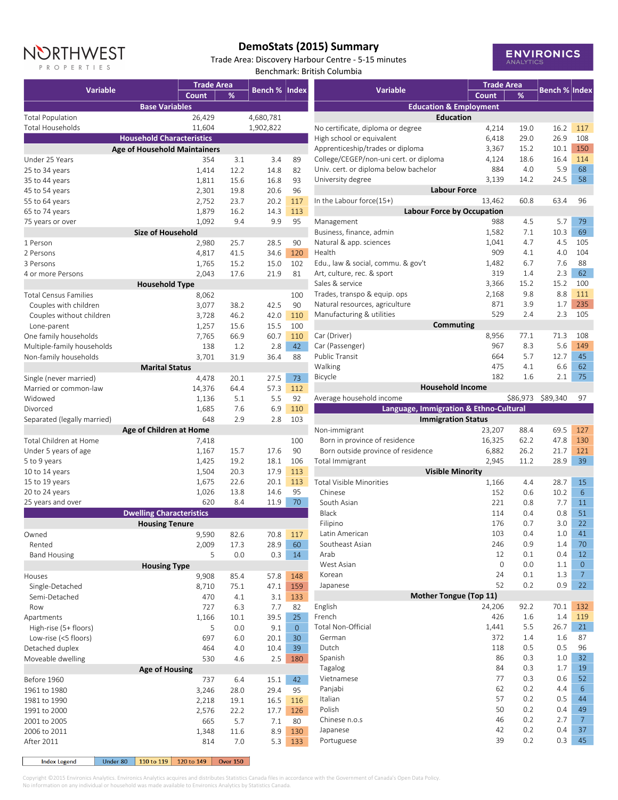

## **DemoStats (2015) Summary**

Trade Area: Discovery Harbour Centre - 5-15 minutes Benchmark: British Columbia



|                                                       | <b>Trade Area</b> |      |                      |     |  |
|-------------------------------------------------------|-------------------|------|----------------------|-----|--|
| <b>Variable</b>                                       | Count             | ℅    | <b>Bench % Index</b> |     |  |
| <b>Base Variables</b>                                 |                   |      |                      |     |  |
| <b>Total Population</b>                               | 26,429            |      | 4,680,781            |     |  |
| Total Households                                      | 11,604            |      | 1,902,822            |     |  |
| <b>Household Characteristics</b>                      |                   |      |                      |     |  |
|                                                       |                   |      |                      |     |  |
| <b>Age of Household Maintainers</b><br>Under 25 Years | 354               | 3.1  | 3.4                  | 89  |  |
| 25 to 34 years                                        | 1,414             | 12.2 | 14.8                 | 82  |  |
| 35 to 44 years                                        | 1,811             | 15.6 | 16.8                 | 93  |  |
| 45 to 54 years                                        | 2,301             | 19.8 | 20.6                 | 96  |  |
| 55 to 64 years                                        | 2,752             | 23.7 | 20.2                 | 117 |  |
| 65 to 74 years                                        | 1,879             | 16.2 | 14.3                 | 113 |  |
| 75 years or over                                      | 1,092             | 9.4  | 9.9                  | 95  |  |
| <b>Size of Household</b>                              |                   |      |                      |     |  |
| 1 Person                                              | 2,980             | 25.7 | 28.5                 | 90  |  |
| 2 Persons                                             | 4,817             | 41.5 | 34.6                 | 120 |  |
| 3 Persons                                             | 1,765             | 15.2 | 15.0                 | 102 |  |
| 4 or more Persons                                     | 2,043             | 17.6 | 21.9                 | 81  |  |
| <b>Household Type</b>                                 |                   |      |                      |     |  |
| <b>Total Census Families</b>                          | 8,062             |      |                      | 100 |  |
| Couples with children                                 | 3,077             | 38.2 | 42.5                 | 90  |  |
| Couples without children                              | 3,728             | 46.2 | 42.0                 | 110 |  |
| Lone-parent                                           | 1,257             | 15.6 | 15.5                 | 100 |  |
| One family households                                 | 7,765             | 66.9 | 60.7                 | 110 |  |
| Multiple-family households                            | 138               | 1.2  | 2.8                  | 42  |  |
| Non-family households                                 | 3,701             | 31.9 | 36.4                 | 88  |  |
| <b>Marital Status</b>                                 |                   |      |                      |     |  |
| Single (never married)                                | 4,478             | 20.1 | 27.5                 | 73  |  |
| Married or common-law                                 | 14,376            | 64.4 | 57.3                 | 112 |  |
| Widowed                                               | 1,136             | 5.1  | 5.5                  | 92  |  |
| Divorced                                              | 1,685             | 7.6  | 6.9                  | 110 |  |
| Separated (legally married)                           | 648               | 2.9  | 2.8                  | 103 |  |
| Age of Children at Home                               |                   |      |                      |     |  |
| Total Children at Home                                | 7,418             |      |                      | 100 |  |
| Under 5 years of age                                  | 1,167             | 15.7 | 17.6                 | 90  |  |
| 5 to 9 years                                          | 1,425             | 19.2 | 18.1                 | 106 |  |
| 10 to 14 years                                        | 1,504             | 20.3 | 17.9                 | 113 |  |
| 15 to 19 years                                        | 1,675             | 22.6 | 20.1                 | 113 |  |
| 20 to 24 years                                        | 1,026             | 13.8 | 14.6                 | 95  |  |
| 25 years and over                                     | 620               | 8.4  | 11.9                 | 70  |  |
| <b>Dwelling Characteristics</b>                       |                   |      |                      |     |  |
| <b>Housing Tenure</b>                                 |                   |      |                      |     |  |
| Owned                                                 | 9,590             | 82.6 | 70.8                 | 117 |  |
| Rented                                                | 2,009             | 17.3 | 28.9                 | 60  |  |
| <b>Band Housing</b>                                   | 5                 | 0.0  | 0.3                  | 14  |  |
| <b>Housing Type</b>                                   |                   |      |                      |     |  |
| Houses                                                | 9,908             | 85.4 | 57.8                 | 148 |  |
| Single-Detached                                       | 8,710             | 75.1 | 47.1                 | 159 |  |
| Semi-Detached                                         | 470               | 4.1  | 3.1                  | 133 |  |
| Row                                                   | 727               | 6.3  | 7.7                  | 82  |  |
| Apartments                                            | 1,166             | 10.1 | 39.5                 | 25  |  |
| High-rise (5+ floors)                                 | 5                 | 0.0  | 9.1                  | 0   |  |
| Low-rise (<5 floors)                                  | 697               | 6.0  | 20.1                 | 30  |  |
| Detached duplex                                       | 464               | 4.0  | 10.4                 | 39  |  |
| Moveable dwelling                                     | 530               | 4.6  | 2.5                  | 180 |  |
| <b>Age of Housing</b>                                 |                   |      |                      |     |  |
| Before 1960                                           | 737               | 6.4  | 15.1                 | 42  |  |
| 1961 to 1980                                          | 3,246             | 28.0 | 29.4                 | 95  |  |
| 1981 to 1990                                          | 2,218             | 19.1 | 16.5                 | 116 |  |
| 1991 to 2000                                          | 2,576             | 22.2 | 17.7                 | 126 |  |
| 2001 to 2005                                          | 665               | 5.7  | 7.1                  | 80  |  |
| 2006 to 2011                                          | 1,348             | 11.6 | 8.9                  | 130 |  |
| After 2011                                            | 814               | 7.0  | 5.3                  | 133 |  |
|                                                       |                   |      |                      |     |  |

|                                                                    | <b>Trade Area</b> |          |                      |                |
|--------------------------------------------------------------------|-------------------|----------|----------------------|----------------|
| <b>Variable</b>                                                    | Count             | ℅        | <b>Bench % Index</b> |                |
| <b>Education &amp; Employment</b>                                  |                   |          |                      |                |
| <b>Education</b>                                                   |                   |          |                      |                |
| No certificate, diploma or degree                                  | 4,214             | 19.0     | 16.2                 | 117            |
| High school or equivalent                                          | 6,418             | 29.0     | 26.9                 | 108            |
| Apprenticeship/trades or diploma                                   | 3,367             | 15.2     | 10.1                 | 150            |
| College/CEGEP/non-uni cert. or diploma                             | 4,124             | 18.6     | 16.4                 | 114            |
| Univ. cert. or diploma below bachelor                              | 884               | 4.0      | 5.9                  | 68             |
| University degree                                                  | 3,139             | 14.2     | 24.5                 | 58             |
| <b>Labour Force</b><br>In the Labour force(15+)                    | 13,462            | 60.8     | 63.4                 | 96             |
| <b>Labour Force by Occupation</b>                                  |                   |          |                      |                |
| Management                                                         | 988               | 4.5      | 5.7                  | 79             |
| Business, finance, admin                                           | 1,582             | 7.1      | 10.3                 | 69             |
| Natural & app. sciences                                            | 1,041             | 4.7      | 4.5                  | 105            |
| Health                                                             | 909               | 4.1      | 4.0                  | 104            |
| Edu., law & social, commu. & gov't                                 | 1,482             | 6.7      | 7.6                  | 88             |
| Art, culture, rec. & sport                                         | 319               | 1.4      | 2.3                  | 62             |
| Sales & service                                                    | 3,366             | 15.2     | 15.2                 | 100            |
| Trades, transpo & equip. ops                                       | 2,168             | 9.8      | 8.8                  | 111            |
| Natural resources, agriculture                                     | 871               | 3.9      | 1.7                  | 235            |
| Manufacturing & utilities                                          | 529               | 2.4      | 2.3                  | 105            |
| <b>Commuting</b>                                                   |                   |          |                      |                |
| Car (Driver)                                                       | 8,956             | 77.1     | 71.3                 | 108            |
| Car (Passenger)                                                    | 967               | 8.3      | 5.6                  | 149            |
| <b>Public Transit</b>                                              | 664               | 5.7      | 12.7                 | 45             |
| Walking                                                            | 475               | 4.1      | 6.6                  | 62             |
| Bicycle                                                            | 182               | 1.6      | 2.1                  | 75             |
| <b>Household Income</b>                                            |                   |          |                      |                |
| Average household income<br>Language, Immigration & Ethno-Cultural |                   | \$86,973 | \$89,340             | 97             |
| <b>Immigration Status</b>                                          |                   |          |                      |                |
| Non-immigrant                                                      | 23,207            | 88.4     | 69.5                 | 127            |
| Born in province of residence                                      | 16,325            | 62.2     | 47.8                 | 130            |
| Born outside province of residence                                 | 6,882             | 26.2     | 21.7                 | 121            |
| Total Immigrant                                                    | 2,945             | 11.2     | 28.9                 | 39             |
| <b>Visible Minority</b>                                            |                   |          |                      |                |
| <b>Total Visible Minorities</b>                                    | 1,166             | 4.4      | 28.7                 | 15             |
| Chinese                                                            | 152               | 0.6      | 10.2                 | 6              |
| South Asian                                                        | 221               | 0.8      | 7.7                  | 11             |
| <b>Black</b>                                                       | 114               | 0.4      | 0.8                  | 51             |
| Filipino                                                           | 176               | 0.7      | 3.0                  | 22             |
| Latin American                                                     | 103               | 0.4      | 1.0                  | 41             |
| Southeast Asian                                                    | 246               | 0.9      | 1.4                  | 70             |
| Arab                                                               | 12                | 0.1      | 0.4                  | 12             |
| West Asian                                                         | 0                 | 0.0      | 1.1                  | 0              |
| Korean                                                             | 24                | 0.1      | 1.3                  | $\overline{7}$ |
| Japanese<br>Mother Tongue (Top 11)                                 | 52                | 0.2      | 0.9                  | 22             |
| English                                                            | 24,206            | 92.2     | 70.1                 | 132            |
| French                                                             | 426               | 1.6      | 1.4                  | 119            |
| Total Non-Official                                                 | 1,441             | 5.5      | 26.7                 | 21             |
| German                                                             | 372               | $1.4\,$  | 1.6                  | 87             |
| Dutch                                                              | 118               | 0.5      | 0.5                  | 96             |
| Spanish                                                            | 86                | 0.3      | 1.0                  | 32             |
| Tagalog                                                            | 84                | 0.3      | 1.7                  | 19             |
| Vietnamese                                                         | 77                | 0.3      | 0.6                  | 52             |
| Panjabi                                                            | 62                | 0.2      | 4.4                  | 6              |
| Italian                                                            | 57                | 0.2      | 0.5                  | 44             |
| Polish                                                             | 50                | 0.2      | 0.4                  | 49             |
| Chinese n.o.s                                                      | 46                | 0.2      | 2.7                  | $\overline{7}$ |
| Japanese                                                           | 42                | 0.2      | 0.4                  | 37             |
| Portuguese                                                         | 39                | 0.2      | 0.3                  | 45             |
|                                                                    |                   |          |                      |                |

Under 80 | 110 to 119 | 120 to 149 | Over 150 | **Index Legend** 

Copyright ©2015 Environics Analytics. Environics Analytics acquires and distributes Statistics Canada files in accordance with the Government of Canada's Open Data Policy.

No information on any individual or household was made available to Environics Analytics by Statistics Canada.